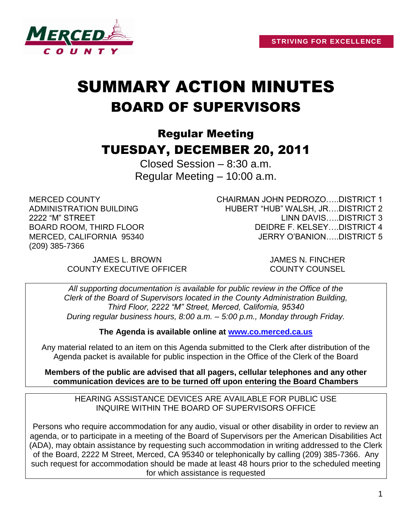

# SUMMARY ACTION MINUTES BOARD OF SUPERVISORS

# Regular Meeting TUESDAY, DECEMBER 20, 2011

Closed Session – 8:30 a.m. Regular Meeting – 10:00 a.m.

MERCED COUNTY ADMINISTRATION BUILDING 2222 "M" STREET BOARD ROOM, THIRD FLOOR MERCED, CALIFORNIA 95340 (209) 385-7366

CHAIRMAN JOHN PEDROZO…..DISTRICT 1 HUBERT "HUB" WALSH, JR….DISTRICT 2 LINN DAVIS…..DISTRICT 3 DEIDRE F. KELSEY….DISTRICT 4 JERRY O'BANION…..DISTRICT 5

JAMES L. BROWN JAMES N. FINCHER COUNTY EXECUTIVE OFFICER COUNTY COUNSEL

*All supporting documentation is available for public review in the Office of the Clerk of the Board of Supervisors located in the County Administration Building, Third Floor, 2222 "M" Street, Merced, California, 95340 During regular business hours, 8:00 a.m. – 5:00 p.m., Monday through Friday.*

**The Agenda is available online at [www.co.merced.ca.us](http://www.co.merced.ca.us/)**

Any material related to an item on this Agenda submitted to the Clerk after distribution of the Agenda packet is available for public inspection in the Office of the Clerk of the Board

**Members of the public are advised that all pagers, cellular telephones and any other communication devices are to be turned off upon entering the Board Chambers**

HEARING ASSISTANCE DEVICES ARE AVAILABLE FOR PUBLIC USE INQUIRE WITHIN THE BOARD OF SUPERVISORS OFFICE

Persons who require accommodation for any audio, visual or other disability in order to review an agenda, or to participate in a meeting of the Board of Supervisors per the American Disabilities Act (ADA), may obtain assistance by requesting such accommodation in writing addressed to the Clerk of the Board, 2222 M Street, Merced, CA 95340 or telephonically by calling (209) 385-7366. Any such request for accommodation should be made at least 48 hours prior to the scheduled meeting for which assistance is requested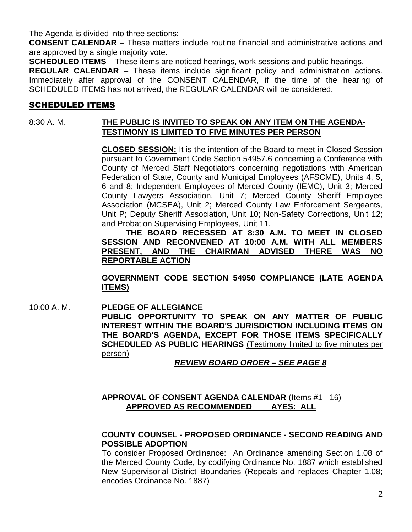The Agenda is divided into three sections:

**CONSENT CALENDAR** – These matters include routine financial and administrative actions and are approved by a single majority vote.

**SCHEDULED ITEMS** – These items are noticed hearings, work sessions and public hearings.

**REGULAR CALENDAR** – These items include significant policy and administration actions. Immediately after approval of the CONSENT CALENDAR, if the time of the hearing of SCHEDULED ITEMS has not arrived, the REGULAR CALENDAR will be considered.

# SCHEDULED ITEMS

# 8:30 A. M. **THE PUBLIC IS INVITED TO SPEAK ON ANY ITEM ON THE AGENDA-TESTIMONY IS LIMITED TO FIVE MINUTES PER PERSON**

**CLOSED SESSION:** It is the intention of the Board to meet in Closed Session pursuant to Government Code Section 54957.6 concerning a Conference with County of Merced Staff Negotiators concerning negotiations with American Federation of State, County and Municipal Employees (AFSCME), Units 4, 5, 6 and 8; Independent Employees of Merced County (IEMC), Unit 3; Merced County Lawyers Association, Unit 7; Merced County Sheriff Employee Association (MCSEA), Unit 2; Merced County Law Enforcement Sergeants, Unit P; Deputy Sheriff Association, Unit 10; Non-Safety Corrections, Unit 12; and Probation Supervising Employees, Unit 11.

**THE BOARD RECESSED AT 8:30 A.M. TO MEET IN CLOSED SESSION AND RECONVENED AT 10:00 A.M. WITH ALL MEMBERS PRESENT, AND THE CHAIRMAN ADVISED THERE WAS NO REPORTABLE ACTION**

**GOVERNMENT CODE SECTION 54950 COMPLIANCE (LATE AGENDA ITEMS)**

10:00 A. M. **PLEDGE OF ALLEGIANCE PUBLIC OPPORTUNITY TO SPEAK ON ANY MATTER OF PUBLIC INTEREST WITHIN THE BOARD'S JURISDICTION INCLUDING ITEMS ON THE BOARD'S AGENDA, EXCEPT FOR THOSE ITEMS SPECIFICALLY SCHEDULED AS PUBLIC HEARINGS** (Testimony limited to five minutes per person)

# *REVIEW BOARD ORDER – SEE PAGE 8*

# **APPROVAL OF CONSENT AGENDA CALENDAR** (Items #1 - 16) **APPROVED AS RECOMMENDED AYES: ALL**

# **COUNTY COUNSEL - PROPOSED ORDINANCE - SECOND READING AND POSSIBLE ADOPTION**

To consider Proposed Ordinance: An Ordinance amending Section 1.08 of the Merced County Code, by codifying Ordinance No. 1887 which established New Supervisorial District Boundaries (Repeals and replaces Chapter 1.08; encodes Ordinance No. 1887)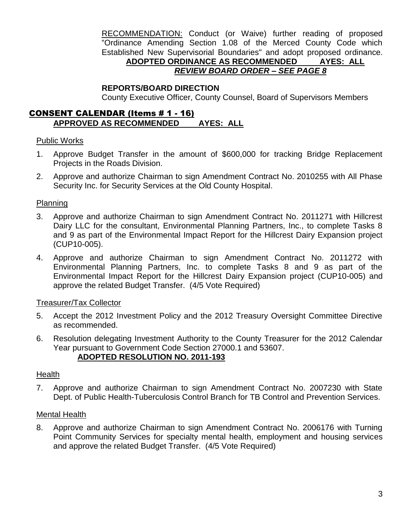RECOMMENDATION: Conduct (or Waive) further reading of proposed "Ordinance Amending Section 1.08 of the Merced County Code which Established New Supervisorial Boundaries" and adopt proposed ordinance. **ADOPTED ORDINANCE AS RECOMMENDED AYES: ALL**

# *REVIEW BOARD ORDER – SEE PAGE 8*

#### **REPORTS/BOARD DIRECTION**

County Executive Officer, County Counsel, Board of Supervisors Members

# CONSENT CALENDAR (Items # 1 - 16) **APPROVED AS RECOMMENDED AYES: ALL**

#### Public Works

- 1. Approve Budget Transfer in the amount of \$600,000 for tracking Bridge Replacement Projects in the Roads Division.
- 2. Approve and authorize Chairman to sign Amendment Contract No. 2010255 with All Phase Security Inc. for Security Services at the Old County Hospital.

#### Planning

- 3. Approve and authorize Chairman to sign Amendment Contract No. 2011271 with Hillcrest Dairy LLC for the consultant, Environmental Planning Partners, Inc., to complete Tasks 8 and 9 as part of the Environmental Impact Report for the Hillcrest Dairy Expansion project (CUP10-005).
- 4. Approve and authorize Chairman to sign Amendment Contract No. 2011272 with Environmental Planning Partners, Inc. to complete Tasks 8 and 9 as part of the Environmental Impact Report for the Hillcrest Dairy Expansion project (CUP10-005) and approve the related Budget Transfer. (4/5 Vote Required)

#### Treasurer/Tax Collector

- 5. Accept the 2012 Investment Policy and the 2012 Treasury Oversight Committee Directive as recommended.
- 6. Resolution delegating Investment Authority to the County Treasurer for the 2012 Calendar Year pursuant to Government Code Section 27000.1 and 53607. **ADOPTED RESOLUTION NO. 2011-193**

#### Health

7. Approve and authorize Chairman to sign Amendment Contract No. 2007230 with State Dept. of Public Health-Tuberculosis Control Branch for TB Control and Prevention Services.

#### Mental Health

8. Approve and authorize Chairman to sign Amendment Contract No. 2006176 with Turning Point Community Services for specialty mental health, employment and housing services and approve the related Budget Transfer. (4/5 Vote Required)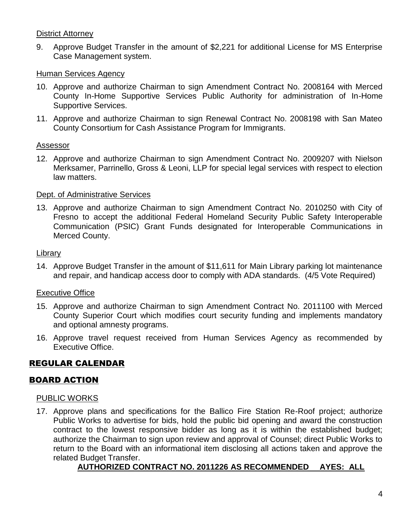#### District Attorney

9. Approve Budget Transfer in the amount of \$2,221 for additional License for MS Enterprise Case Management system.

#### Human Services Agency

- 10. Approve and authorize Chairman to sign Amendment Contract No. 2008164 with Merced County In-Home Supportive Services Public Authority for administration of In-Home Supportive Services.
- 11. Approve and authorize Chairman to sign Renewal Contract No. 2008198 with San Mateo County Consortium for Cash Assistance Program for Immigrants.

#### Assessor

12. Approve and authorize Chairman to sign Amendment Contract No. 2009207 with Nielson Merksamer, Parrinello, Gross & Leoni, LLP for special legal services with respect to election law matters.

#### Dept. of Administrative Services

13. Approve and authorize Chairman to sign Amendment Contract No. 2010250 with City of Fresno to accept the additional Federal Homeland Security Public Safety Interoperable Communication (PSIC) Grant Funds designated for Interoperable Communications in Merced County.

#### Library

14. Approve Budget Transfer in the amount of \$11,611 for Main Library parking lot maintenance and repair, and handicap access door to comply with ADA standards. (4/5 Vote Required)

# Executive Office

- 15. Approve and authorize Chairman to sign Amendment Contract No. 2011100 with Merced County Superior Court which modifies court security funding and implements mandatory and optional amnesty programs.
- 16. Approve travel request received from Human Services Agency as recommended by Executive Office.

# REGULAR CALENDAR

# BOARD ACTION

#### PUBLIC WORKS

17. Approve plans and specifications for the Ballico Fire Station Re-Roof project; authorize Public Works to advertise for bids, hold the public bid opening and award the construction contract to the lowest responsive bidder as long as it is within the established budget; authorize the Chairman to sign upon review and approval of Counsel; direct Public Works to return to the Board with an informational item disclosing all actions taken and approve the related Budget Transfer.

# **AUTHORIZED CONTRACT NO. 2011226 AS RECOMMENDED AYES: ALL**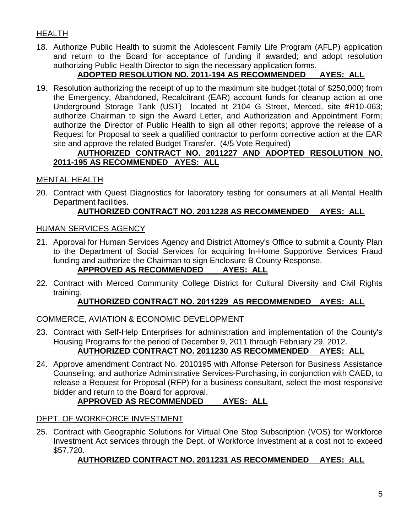# HEALTH

18. Authorize Public Health to submit the Adolescent Family Life Program (AFLP) application and return to the Board for acceptance of funding if awarded; and adopt resolution authorizing Public Health Director to sign the necessary application forms.

# **ADOPTED RESOLUTION NO. 2011-194 AS RECOMMENDED AYES: ALL**

19. Resolution authorizing the receipt of up to the maximum site budget (total of \$250,000) from the Emergency, Abandoned, Recalcitrant (EAR) account funds for cleanup action at one Underground Storage Tank (UST) located at 2104 G Street, Merced, site #R10-063; authorize Chairman to sign the Award Letter, and Authorization and Appointment Form; authorize the Director of Public Health to sign all other reports; approve the release of a Request for Proposal to seek a qualified contractor to perform corrective action at the EAR site and approve the related Budget Transfer. (4/5 Vote Required)

# **AUTHORIZED CONTRACT NO. 2011227 AND ADOPTED RESOLUTION NO. 2011-195 AS RECOMMENDED AYES: ALL**

# MENTAL HEALTH

20. Contract with Quest Diagnostics for laboratory testing for consumers at all Mental Health Department facilities.

# **AUTHORIZED CONTRACT NO. 2011228 AS RECOMMENDED AYES: ALL**

#### HUMAN SERVICES AGENCY

- 21. Approval for Human Services Agency and District Attorney's Office to submit a County Plan to the Department of Social Services for acquiring In-Home Supportive Services Fraud funding and authorize the Chairman to sign Enclosure B County Response. **APPROVED AS RECOMMENDED AYES: ALL**
- 22. Contract with Merced Community College District for Cultural Diversity and Civil Rights training.

# **AUTHORIZED CONTRACT NO. 2011229 AS RECOMMENDED AYES: ALL**

# COMMERCE, AVIATION & ECONOMIC DEVELOPMENT

- 23. Contract with Self-Help Enterprises for administration and implementation of the County's Housing Programs for the period of December 9, 2011 through February 29, 2012. **AUTHORIZED CONTRACT NO. 2011230 AS RECOMMENDED AYES: ALL**
- 24. Approve amendment Contract No. 2010195 with Alfonse Peterson for Business Assistance Counseling; and authorize Administrative Services-Purchasing, in conjunction with CAED, to release a Request for Proposal (RFP) for a business consultant, select the most responsive bidder and return to the Board for approval.

# **APPROVED AS RECOMMENDED AYES: ALL**

# DEPT. OF WORKFORCE INVESTMENT

25. Contract with Geographic Solutions for Virtual One Stop Subscription (VOS) for Workforce Investment Act services through the Dept. of Workforce Investment at a cost not to exceed \$57,720.

# **AUTHORIZED CONTRACT NO. 2011231 AS RECOMMENDED AYES: ALL**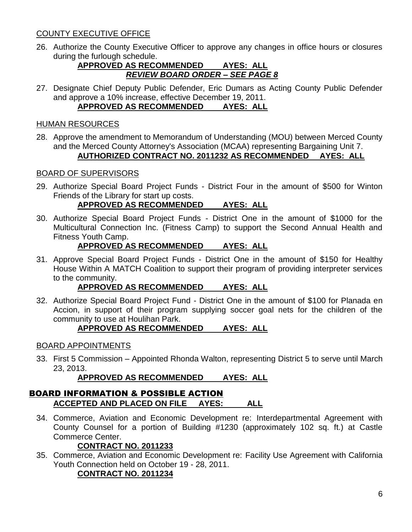# COUNTY EXECUTIVE OFFICE

26. Authorize the County Executive Officer to approve any changes in office hours or closures during the furlough schedule.

#### **APPROVED AS RECOMMENDED AYES: ALL** *REVIEW BOARD ORDER – SEE PAGE 8*

27. Designate Chief Deputy Public Defender, Eric Dumars as Acting County Public Defender and approve a 10% increase, effective December 19, 2011. **APPROVED AS RECOMMENDED AYES: ALL**

#### HUMAN RESOURCES

28. Approve the amendment to Memorandum of Understanding (MOU) between Merced County and the Merced County Attorney's Association (MCAA) representing Bargaining Unit 7. **AUTHORIZED CONTRACT NO. 2011232 AS RECOMMENDED AYES: ALL**

# BOARD OF SUPERVISORS

29. Authorize Special Board Project Funds - District Four in the amount of \$500 for Winton Friends of the Library for start up costs.

# **APPROVED AS RECOMMENDED AYES: ALL**

30. Authorize Special Board Project Funds - District One in the amount of \$1000 for the Multicultural Connection Inc. (Fitness Camp) to support the Second Annual Health and Fitness Youth Camp.

# **APPROVED AS RECOMMENDED AYES: ALL**

31. Approve Special Board Project Funds - District One in the amount of \$150 for Healthy House Within A MATCH Coalition to support their program of providing interpreter services to the community.

# **APPROVED AS RECOMMENDED AYES: ALL**

32. Authorize Special Board Project Fund - District One in the amount of \$100 for Planada en Accion, in support of their program supplying soccer goal nets for the children of the community to use at Houlihan Park.

# **APPROVED AS RECOMMENDED AYES: ALL**

#### BOARD APPOINTMENTS

33. First 5 Commission – Appointed Rhonda Walton, representing District 5 to serve until March 23, 2013.

# **APPROVED AS RECOMMENDED AYES: ALL**

#### BOARD INFORMATION & POSSIBLE ACTION **ACCEPTED AND PLACED ON FILE AYES: ALL**

34. Commerce, Aviation and Economic Development re: Interdepartmental Agreement with County Counsel for a portion of Building #1230 (approximately 102 sq. ft.) at Castle Commerce Center.

# **CONTRACT NO. 2011233**

35. Commerce, Aviation and Economic Development re: Facility Use Agreement with California Youth Connection held on October 19 - 28, 2011.

# **CONTRACT NO. 2011234**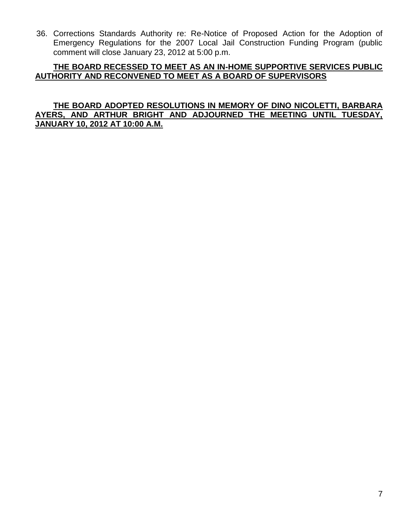36. Corrections Standards Authority re: Re-Notice of Proposed Action for the Adoption of Emergency Regulations for the 2007 Local Jail Construction Funding Program (public comment will close January 23, 2012 at 5:00 p.m.

#### **THE BOARD RECESSED TO MEET AS AN IN-HOME SUPPORTIVE SERVICES PUBLIC AUTHORITY AND RECONVENED TO MEET AS A BOARD OF SUPERVISORS**

#### **THE BOARD ADOPTED RESOLUTIONS IN MEMORY OF DINO NICOLETTI, BARBARA AYERS, AND ARTHUR BRIGHT AND ADJOURNED THE MEETING UNTIL TUESDAY, JANUARY 10, 2012 AT 10:00 A.M.**